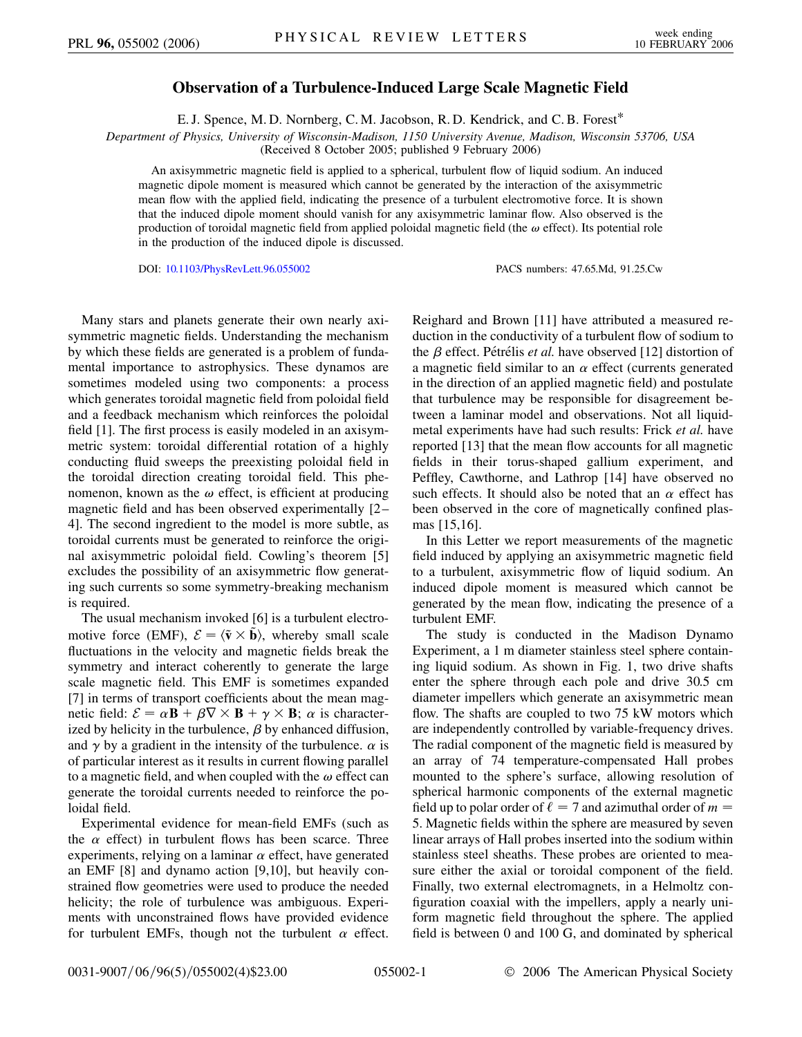## **Observation of a Turbulence-Induced Large Scale Magnetic Field**

E. J. Spence, M. D. Nornberg, C. M. Jacobson, R. D. Kendrick, and C. B. Forest\*

*Department of Physics, University of Wisconsin-Madison, 1150 University Avenue, Madison, Wisconsin 53706, USA*

(Received 8 October 2005; published 9 February 2006)

An axisymmetric magnetic field is applied to a spherical, turbulent flow of liquid sodium. An induced magnetic dipole moment is measured which cannot be generated by the interaction of the axisymmetric mean flow with the applied field, indicating the presence of a turbulent electromotive force. It is shown that the induced dipole moment should vanish for any axisymmetric laminar flow. Also observed is the production of toroidal magnetic field from applied poloidal magnetic field (the  $\omega$  effect). Its potential role in the production of the induced dipole is discussed.

DOI: [10.1103/PhysRevLett.96.055002](http://dx.doi.org/10.1103/PhysRevLett.96.055002) PACS numbers: 47.65.Md, 91.25.Cw

Many stars and planets generate their own nearly axisymmetric magnetic fields. Understanding the mechanism by which these fields are generated is a problem of fundamental importance to astrophysics. These dynamos are sometimes modeled using two components: a process which generates toroidal magnetic field from poloidal field and a feedback mechanism which reinforces the poloidal field [1]. The first process is easily modeled in an axisymmetric system: toroidal differential rotation of a highly conducting fluid sweeps the preexisting poloidal field in the toroidal direction creating toroidal field. This phenomenon, known as the  $\omega$  effect, is efficient at producing magnetic field and has been observed experimentally [2– 4]. The second ingredient to the model is more subtle, as toroidal currents must be generated to reinforce the original axisymmetric poloidal field. Cowling's theorem [5] excludes the possibility of an axisymmetric flow generating such currents so some symmetry-breaking mechanism is required.

The usual mechanism invoked [6] is a turbulent electromotive force (EMF),  $\mathcal{E} = \langle \tilde{\mathbf{v}} \times \tilde{\mathbf{b}} \rangle$ , whereby small scale fluctuations in the velocity and magnetic fields break the symmetry and interact coherently to generate the large scale magnetic field. This EMF is sometimes expanded [7] in terms of transport coefficients about the mean magnetic field:  $\mathcal{E} = \alpha \mathbf{B} + \beta \nabla \times \mathbf{B} + \gamma \times \mathbf{B}$ ;  $\alpha$  is characterized by helicity in the turbulence,  $\beta$  by enhanced diffusion, and  $\gamma$  by a gradient in the intensity of the turbulence.  $\alpha$  is of particular interest as it results in current flowing parallel to a magnetic field, and when coupled with the  $\omega$  effect can generate the toroidal currents needed to reinforce the poloidal field.

Experimental evidence for mean-field EMFs (such as the  $\alpha$  effect) in turbulent flows has been scarce. Three experiments, relying on a laminar  $\alpha$  effect, have generated an EMF [8] and dynamo action [9,10], but heavily constrained flow geometries were used to produce the needed helicity; the role of turbulence was ambiguous. Experiments with unconstrained flows have provided evidence for turbulent EMFs, though not the turbulent  $\alpha$  effect. Reighard and Brown [11] have attributed a measured reduction in the conductivity of a turbulent flow of sodium to the *β* effect. Pétrélis *et al*. have observed [12] distortion of a magnetic field similar to an  $\alpha$  effect (currents generated in the direction of an applied magnetic field) and postulate that turbulence may be responsible for disagreement between a laminar model and observations. Not all liquidmetal experiments have had such results: Frick *et al.* have reported [13] that the mean flow accounts for all magnetic fields in their torus-shaped gallium experiment, and Peffley, Cawthorne, and Lathrop [14] have observed no such effects. It should also be noted that an  $\alpha$  effect has been observed in the core of magnetically confined plasmas [15,16].

In this Letter we report measurements of the magnetic field induced by applying an axisymmetric magnetic field to a turbulent, axisymmetric flow of liquid sodium. An induced dipole moment is measured which cannot be generated by the mean flow, indicating the presence of a turbulent EMF.

The study is conducted in the Madison Dynamo Experiment, a 1 m diameter stainless steel sphere containing liquid sodium. As shown in Fig. 1, two drive shafts enter the sphere through each pole and drive 30.5 cm diameter impellers which generate an axisymmetric mean flow. The shafts are coupled to two 75 kW motors which are independently controlled by variable-frequency drives. The radial component of the magnetic field is measured by an array of 74 temperature-compensated Hall probes mounted to the sphere's surface, allowing resolution of spherical harmonic components of the external magnetic field up to polar order of  $\ell = 7$  and azimuthal order of  $m =$ 5. Magnetic fields within the sphere are measured by seven linear arrays of Hall probes inserted into the sodium within stainless steel sheaths. These probes are oriented to measure either the axial or toroidal component of the field. Finally, two external electromagnets, in a Helmoltz configuration coaxial with the impellers, apply a nearly uniform magnetic field throughout the sphere. The applied field is between 0 and 100 G, and dominated by spherical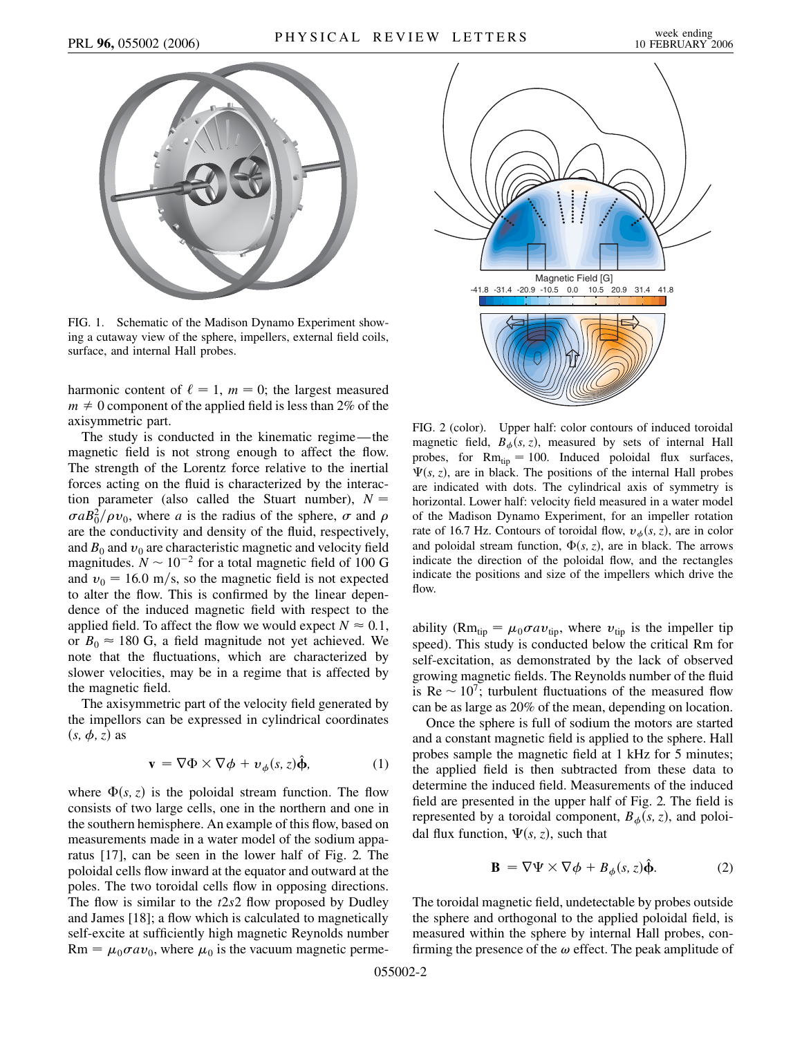

FIG. 1. Schematic of the Madison Dynamo Experiment showing a cutaway view of the sphere, impellers, external field coils, surface, and internal Hall probes.

harmonic content of  $\ell = 1$ ,  $m = 0$ ; the largest measured  $m \neq 0$  component of the applied field is less than 2% of the axisymmetric part.

The study is conducted in the kinematic regime—the magnetic field is not strong enough to affect the flow. The strength of the Lorentz force relative to the inertial forces acting on the fluid is characterized by the interaction parameter (also called the Stuart number),  $N =$  $\sigma aB_0^2/\rho v_0$ , where *a* is the radius of the sphere,  $\sigma$  and  $\rho$ are the conductivity and density of the fluid, respectively, and  $B_0$  and  $v_0$  are characteristic magnetic and velocity field magnitudes.  $N \sim 10^{-2}$  for a total magnetic field of 100 G and  $v_0 = 16.0$  m/s, so the magnetic field is not expected to alter the flow. This is confirmed by the linear dependence of the induced magnetic field with respect to the applied field. To affect the flow we would expect  $N \approx 0.1$ , or  $B_0 \approx 180$  G, a field magnitude not yet achieved. We note that the fluctuations, which are characterized by slower velocities, may be in a regime that is affected by the magnetic field.

The axisymmetric part of the velocity field generated by the impellors can be expressed in cylindrical coordinates  $(s, \phi, z)$  as

$$
\mathbf{v} = \nabla \Phi \times \nabla \phi + \nu_{\phi}(s, z)\hat{\mathbf{\Phi}}, \tag{1}
$$

where  $\Phi(s, z)$  is the poloidal stream function. The flow consists of two large cells, one in the northern and one in the southern hemisphere. An example of this flow, based on measurements made in a water model of the sodium apparatus [17], can be seen in the lower half of Fig. 2. The poloidal cells flow inward at the equator and outward at the poles. The two toroidal cells flow in opposing directions. The flow is similar to the *t*2*s*2 flow proposed by Dudley and James [18]; a flow which is calculated to magnetically self-excite at sufficiently high magnetic Reynolds number  $\text{Rm} = \mu_0 \sigma a \nu_0$ , where  $\mu_0$  is the vacuum magnetic perme-



FIG. 2 (color). Upper half: color contours of induced toroidal magnetic field,  $B_{\phi}(s, z)$ , measured by sets of internal Hall probes, for  $Rm_{tip} = 100$ . Induced poloidal flux surfaces,  $\Psi(s, z)$ , are in black. The positions of the internal Hall probes are indicated with dots. The cylindrical axis of symmetry is horizontal. Lower half: velocity field measured in a water model of the Madison Dynamo Experiment, for an impeller rotation rate of 16.7 Hz. Contours of toroidal flow,  $v_{\phi}(s, z)$ , are in color and poloidal stream function,  $\Phi(s, z)$ , are in black. The arrows indicate the direction of the poloidal flow, and the rectangles indicate the positions and size of the impellers which drive the flow.

ability ( $Rm_{tip} = \mu_0 \sigma a v_{tip}$ , where  $v_{tip}$  is the impeller tip speed). This study is conducted below the critical Rm for self-excitation, as demonstrated by the lack of observed growing magnetic fields. The Reynolds number of the fluid is  $\text{Re} \sim 10^7$ ; turbulent fluctuations of the measured flow can be as large as 20% of the mean, depending on location.

Once the sphere is full of sodium the motors are started and a constant magnetic field is applied to the sphere. Hall probes sample the magnetic field at 1 kHz for 5 minutes; the applied field is then subtracted from these data to determine the induced field. Measurements of the induced field are presented in the upper half of Fig. 2. The field is represented by a toroidal component,  $B_{\phi}(s, z)$ , and poloidal flux function,  $\Psi(s, z)$ , such that

$$
\mathbf{B} = \nabla \Psi \times \nabla \phi + B_{\phi}(s, z)\hat{\mathbf{\Phi}}.
$$
 (2)

The toroidal magnetic field, undetectable by probes outside the sphere and orthogonal to the applied poloidal field, is measured within the sphere by internal Hall probes, confirming the presence of the  $\omega$  effect. The peak amplitude of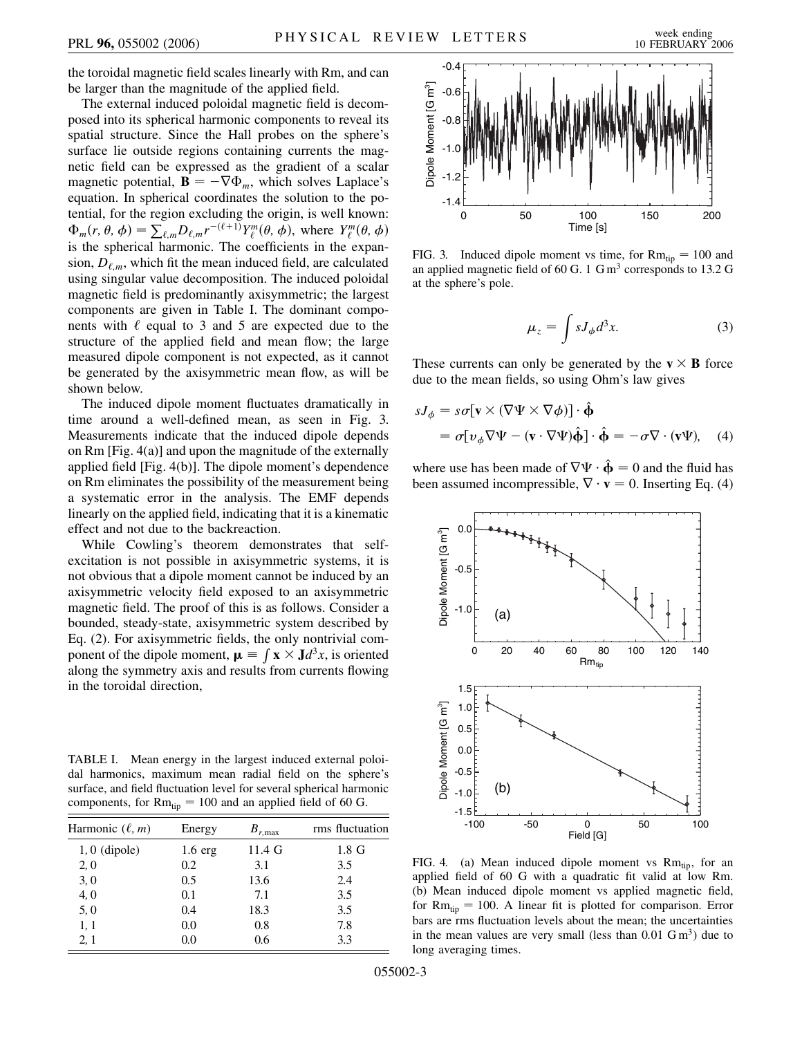the toroidal magnetic field scales linearly with Rm, and can be larger than the magnitude of the applied field.

The external induced poloidal magnetic field is decomposed into its spherical harmonic components to reveal its spatial structure. Since the Hall probes on the sphere's surface lie outside regions containing currents the magnetic field can be expressed as the gradient of a scalar magnetic potential,  $\mathbf{B} = -\nabla \Phi_m$ , which solves Laplace's equation. In spherical coordinates the solution to the potential, for the region excluding the origin, is well known:  $\Phi_m(r, \theta, \phi) = \sum_{\ell,m} D_{\ell,m} r^{-(\ell+1)} Y_{\ell}^m(\theta, \phi),$  where  $Y_{\ell}^m(\theta, \phi)$ is the spherical harmonic. The coefficients in the expansion,  $D_{\ell,m}$ , which fit the mean induced field, are calculated using singular value decomposition. The induced poloidal magnetic field is predominantly axisymmetric; the largest components are given in Table I. The dominant components with  $\ell$  equal to 3 and 5 are expected due to the structure of the applied field and mean flow; the large measured dipole component is not expected, as it cannot be generated by the axisymmetric mean flow, as will be shown below.

The induced dipole moment fluctuates dramatically in time around a well-defined mean, as seen in Fig. 3. Measurements indicate that the induced dipole depends on Rm [Fig. 4(a)] and upon the magnitude of the externally applied field [Fig. 4(b)]. The dipole moment's dependence on Rm eliminates the possibility of the measurement being a systematic error in the analysis. The EMF depends linearly on the applied field, indicating that it is a kinematic effect and not due to the backreaction.

While Cowling's theorem demonstrates that selfexcitation is not possible in axisymmetric systems, it is not obvious that a dipole moment cannot be induced by an axisymmetric velocity field exposed to an axisymmetric magnetic field. The proof of this is as follows. Consider a bounded, steady-state, axisymmetric system described by Eq. (2). For axisymmetric fields, the only nontrivial component of the dipole moment,  $\mu = \int x \times J d^3x$ , is oriented along the symmetry axis and results from currents flowing in the toroidal direction,

TABLE I. Mean energy in the largest induced external poloidal harmonics, maximum mean radial field on the sphere's surface, and field fluctuation level for several spherical harmonic components, for  $Rm_{tip} = 100$  and an applied field of 60 G.

| Energy            | $B_{r,\text{max}}$ | rms fluctuation |
|-------------------|--------------------|-----------------|
| $1.6 \text{ erg}$ | $11.4\text{ G}$    | 1.8 G           |
| 0.2               | 3.1                | 3.5             |
| 0.5               | 13.6               | 2.4             |
| 0.1               | 7.1                | 3.5             |
| 0.4               | 18.3               | 3.5             |
| 0.0               | 0.8                | 7.8             |
| 0.0               | 0.6                | 3.3             |
|                   |                    |                 |



FIG. 3. Induced dipole moment vs time, for  $Rm_{tip} = 100$  and an applied magnetic field of 60 G. 1 Gm<sup>3</sup> corresponds to 13.2 G at the sphere's pole.

$$
\mu_z = \int s J_\phi d^3 x. \tag{3}
$$

These currents can only be generated by the  $v \times B$  force due to the mean fields, so using Ohm's law gives

$$
sJ_{\phi} = s\sigma[\mathbf{v} \times (\nabla\Psi \times \nabla\phi)] \cdot \hat{\Phi}
$$
  
=  $\sigma[\nu_{\phi}\nabla\Psi - (\mathbf{v} \cdot \nabla\Psi)\hat{\Phi}] \cdot \hat{\Phi} = -\sigma\nabla \cdot (\mathbf{v}\Psi),$  (4)

where use has been made of  $\nabla \Psi \cdot \hat{\Phi} = 0$  and the fluid has been assumed incompressible,  $\nabla \cdot \mathbf{v} = 0$ . Inserting Eq. (4)



FIG. 4. (a) Mean induced dipole moment vs  $Rm_{tip}$ , for an applied field of 60 G with a quadratic fit valid at low Rm. (b) Mean induced dipole moment vs applied magnetic field, for  $Rm_{tip} = 100$ . A linear fit is plotted for comparison. Error bars are rms fluctuation levels about the mean; the uncertainties in the mean values are very small (less than  $0.01 \text{ G m}^3$ ) due to long averaging times.